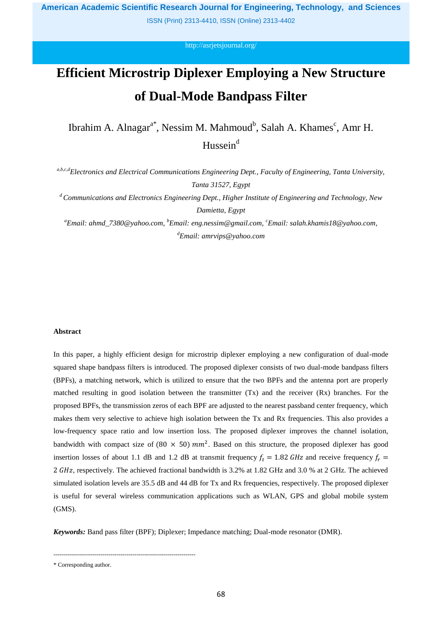ISSN (Print) 2313-4410, ISSN (Online) 2313-4402

<http://asrjetsjournal.org/>

# **Efficient Microstrip Diplexer Employing a New Structure of Dual-Mode Bandpass Filter**

Ibrahim A. Alnagar<sup>a\*</sup>, Nessim M. Mahmoud<sup>b</sup>, Salah A. Khames<sup>c</sup>, Amr H. Hussein $d$ 

*a,b,c,dElectronics and Electrical Communications Engineering Dept., Faculty of Engineering, Tanta University, Tanta 31527, Egypt*

*<sup>d</sup>Communications and Electronics Engineering Dept., Higher Institute of Engineering and Technology, New Damietta, Egypt*

*<sup>a</sup>Email: ahmd\_7380@yahoo.com, <sup>b</sup>Email: eng.nessim@gmail.com, <sup>c</sup>Email: salah.khamis18@yahoo.com, <sup>d</sup>Email: amrvips@yahoo.com*

# **Abstract**

In this paper, a highly efficient design for microstrip diplexer employing a new configuration of dual-mode squared shape bandpass filters is introduced. The proposed diplexer consists of two dual-mode bandpass filters (BPFs), a matching network, which is utilized to ensure that the two BPFs and the antenna port are properly matched resulting in good isolation between the transmitter  $(Tx)$  and the receiver  $(Rx)$  branches. For the proposed BPFs, the transmission zeros of each BPF are adjusted to the nearest passband center frequency, which makes them very selective to achieve high isolation between the Tx and Rx frequencies. This also provides a low-frequency space ratio and low insertion loss. The proposed diplexer improves the channel isolation, bandwidth with compact size of  $(80 \times 50)$  mm<sup>2</sup>. Based on this structure, the proposed diplexer has good insertion losses of about 1.1 dB and 1.2 dB at transmit frequency  $f_t = 1.82 \text{ GHz}$  and receive frequency  $f_r =$ 2 GHz, respectively. The achieved fractional bandwidth is 3.2% at 1.82 GHz and 3.0 % at 2 GHz. The achieved simulated isolation levels are 35.5 dB and 44 dB for Tx and Rx frequencies, respectively. The proposed diplexer is useful for several wireless communication applications such as WLAN, GPS and global mobile system (GMS).

*Keywords:* Band pass filter (BPF); Diplexer; Impedance matching; Dual-mode resonator (DMR).

<sup>------------------------------------------------------------------------</sup>

<sup>\*</sup> Corresponding author.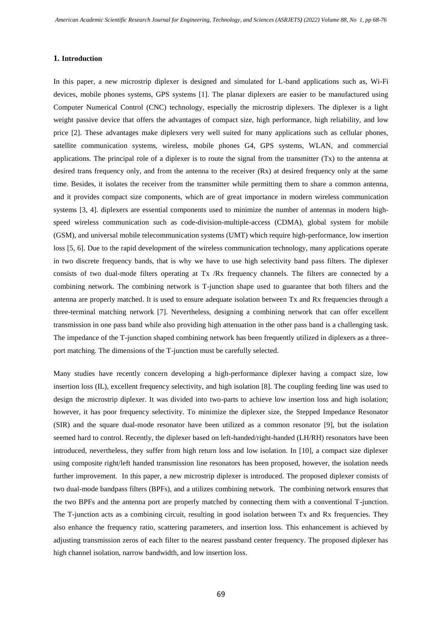## **1. Introduction**

In this paper, a new microstrip diplexer is designed and simulated for L-band applications such as, Wi-Fi devices, mobile phones systems, GPS systems [1]. The planar diplexers are easier to be manufactured using Computer Numerical Control (CNC) technology, especially the microstrip diplexers. The diplexer is a light weight passive device that offers the advantages of compact size, high performance, high reliability, and low price [2]. These advantages make diplexers very well suited for many applications such as cellular phones, satellite communication systems, wireless, mobile phones G4, GPS systems, WLAN, and commercial applications. The principal role of a diplexer is to route the signal from the transmitter (Tx) to the antenna at desired trans frequency only, and from the antenna to the receiver (Rx) at desired frequency only at the same time. Besides, it isolates the receiver from the transmitter while permitting them to share a common antenna, and it provides compact size components, which are of great importance in modern wireless communication systems [3, 4]. diplexers are essential components used to minimize the number of antennas in modern highspeed wireless communication such as code-division-multiple-access (CDMA), global system for mobile (GSM), and universal mobile telecommunication systems (UMT) which require high-performance, low insertion loss [5, 6]. Due to the rapid development of the wireless communication technology, many applications operate in two discrete frequency bands, that is why we have to use high selectivity band pass filters. The diplexer consists of two dual-mode filters operating at Tx /Rx frequency channels. The filters are connected by a combining network. The combining network is T-junction shape used to guarantee that both filters and the antenna are properly matched. It is used to ensure adequate isolation between Tx and Rx frequencies through a three-terminal matching network [7]. Nevertheless, designing a combining network that can offer excellent transmission in one pass band while also providing high attenuation in the other pass band is a challenging task. The impedance of the T-junction shaped combining network has been frequently utilized in diplexers as a threeport matching. The dimensions of the T-junction must be carefully selected.

Many studies have recently concern developing a high-performance diplexer having a compact size, low insertion loss (IL), excellent frequency selectivity, and high isolation [8]. The coupling feeding line was used to design the microstrip diplexer. It was divided into two-parts to achieve low insertion loss and high isolation; however, it has poor frequency selectivity. To minimize the diplexer size, the Stepped Impedance Resonator (SIR) and the square dual-mode resonator have been utilized as a common resonator [9], but the isolation seemed hard to control. Recently, the diplexer based on left-handed/right-handed (LH/RH) resonators have been introduced, nevertheless, they suffer from high return loss and low isolation. In [10], a compact size diplexer using composite right/left handed transmission line resonators has been proposed, however, the isolation needs further improvement. In this paper, a new microstrip diplexer is introduced. The proposed diplexer consists of two dual-mode bandpass filters (BPFs), and a utilizes combining network. The combining network ensures that the two BPFs and the antenna port are properly matched by connecting them with a conventional T-junction. The T-junction acts as a combining circuit, resulting in good isolation between Tx and Rx frequencies. They also enhance the frequency ratio, scattering parameters, and insertion loss. This enhancement is achieved by adjusting transmission zeros of each filter to the nearest passband center frequency. The proposed diplexer has high channel isolation, narrow bandwidth, and low insertion loss.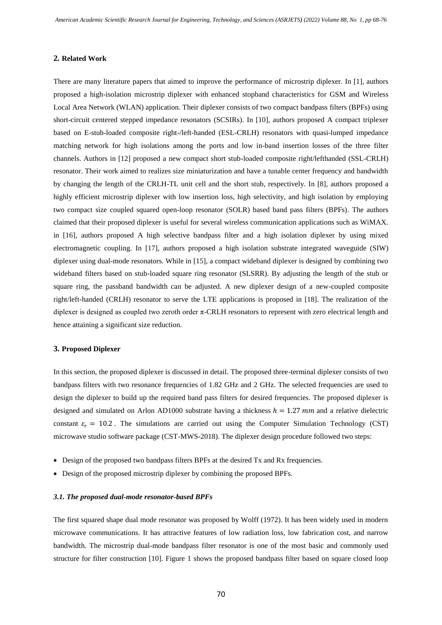#### **2. Related Work**

There are many literature papers that aimed to improve the performance of microstrip diplexer. In [1], authors proposed a high-isolation microstrip diplexer with enhanced stopband characteristics for GSM and Wireless Local Area Network (WLAN) application. Their diplexer consists of two compact bandpass filters (BPFs) using short-circuit centered stepped impedance resonators (SCSIRs). In [10], authors proposed A compact triplexer based on E-stub-loaded composite right-/left-handed (ESL-CRLH) resonators with quasi-lumped impedance matching network for high isolations among the ports and low in-band insertion losses of the three filter channels. Authors in [12] proposed a new compact short stub-loaded composite right/lefthanded (SSL-CRLH) resonator. Their work aimed to realizes size miniaturization and have a tunable center frequency and bandwidth by changing the length of the CRLH-TL unit cell and the short stub, respectively. In [8], authors proposed a highly efficient microstrip diplexer with low insertion loss, high selectivity, and high isolation by employing two compact size coupled squared open-loop resonator (SOLR) based band pass filters (BPFs). The authors claimed that their proposed diplexer is useful for several wireless communication applications such as WiMAX. in [16], authors proposed A high selective bandpass filter and a high isolation diplexer by using mixed electromagnetic coupling. In [17], authors proposed a high isolation substrate integrated waveguide (SIW) diplexer using dual-mode resonators. While in [15], a compact wideband diplexer is designed by combining two wideband filters based on stub-loaded square ring resonator (SLSRR). By adjusting the length of the stub or square ring, the passband bandwidth can be adjusted. A new diplexer design of a new-coupled composite right/left-handed (CRLH) resonator to serve the LTE applications is proposed in [18]. The realization of the diplexer is designed as coupled two zeroth order  $\pi$ -CRLH resonators to represent with zero electrical length and hence attaining a significant size reduction.

#### **3. Proposed Diplexer**

In this section, the proposed diplexer is discussed in detail. The proposed three-terminal diplexer consists of two bandpass filters with two resonance frequencies of 1.82 GHz and 2 GHz. The selected frequencies are used to design the diplexer to build up the required band pass filters for desired frequencies. The proposed diplexer is designed and simulated on Arlon AD1000 substrate having a thickness  $h = 1.27$  mm and a relative dielectric constant  $\varepsilon_r = 10.2$ . The simulations are carried out using the Computer Simulation Technology (CST) microwave studio software package (CST-MWS-2018). The diplexer design procedure followed two steps:

- Design of the proposed two bandpass filters BPFs at the desired Tx and Rx frequencies.
- Design of the proposed microstrip diplexer by combining the proposed BPFs.

#### *3.1. The proposed dual-mode resonator-based BPFs*

The first squared shape dual mode resonator was proposed by Wolff (1972). It has been widely used in modern microwave communications. It has attractive features of low radiation loss, low fabrication cost, and narrow bandwidth. The microstrip dual-mode bandpass filter resonator is one of the most basic and commonly used structure for filter construction [10]. Figure 1 shows the proposed bandpass filter based on square closed loop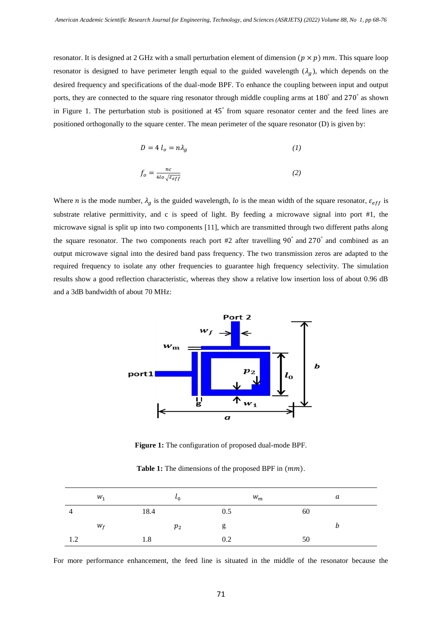resonator. It is designed at 2 GHz with a small perturbation element of dimension  $(p \times p)$  mm. This square loop resonator is designed to have perimeter length equal to the guided wavelength  $(\lambda_q)$ , which depends on the desired frequency and specifications of the dual-mode BPF. To enhance the coupling between input and output ports, they are connected to the square ring resonator through middle coupling arms at 180° and 270° as shown in Figure 1. The perturbation stub is positioned at 45° from square resonator center and the feed lines are positioned orthogonally to the square center. The mean perimeter of the square resonator (D) is given by:

$$
D = 4 l_o = n \lambda_g \tag{1}
$$

$$
f_o = \frac{nc}{4lo\sqrt{\varepsilon_{eff}}}
$$
 (2)

Where *n* is the mode number,  $\lambda_g$  is the guided wavelength, lo is the mean width of the square resonator,  $\varepsilon_{eff}$  is substrate relative permittivity, and c is speed of light. By feeding a microwave signal into port #1, the microwave signal is split up into two components [11], which are transmitted through two different paths along the square resonator. The two components reach port #2 after travelling 90° and 270° and combined as an output microwave signal into the desired band pass frequency. The two transmission zeros are adapted to the required frequency to isolate any other frequencies to guarantee high frequency selectivity. The simulation results show a good reflection characteristic, whereas they show a relative low insertion loss of about 0.96 dB and a 3dB bandwidth of about 70 MHz:



**Figure 1:** The configuration of proposed dual-mode BPF.

**Table 1:** The dimensions of the proposed BPF in  $(mm)$ .

|   | $W_1$ |      | $\iota_0$      |     | $w_m$ |    | а |
|---|-------|------|----------------|-----|-------|----|---|
| 4 |       | 18.4 |                | 0.5 |       | 60 |   |
|   | $W_f$ |      | p <sub>2</sub> | g   |       |    |   |
| . |       | 1.8  |                | 0.2 |       | 50 |   |

For more performance enhancement, the feed line is situated in the middle of the resonator because the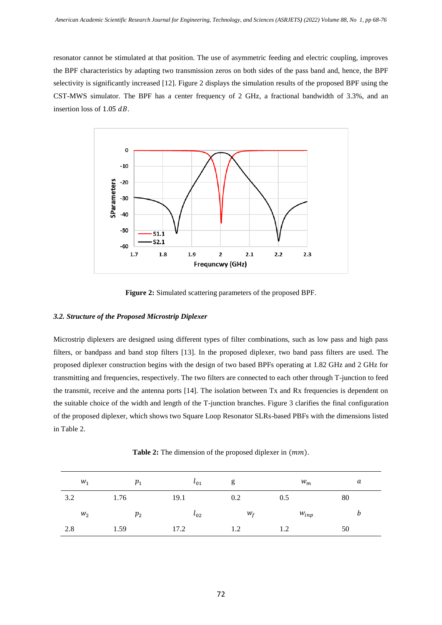resonator cannot be stimulated at that position. The use of asymmetric feeding and electric coupling, improves the BPF characteristics by adapting two transmission zeros on both sides of the pass band and, hence, the BPF selectivity is significantly increased [12]. Figure 2 displays the simulation results of the proposed BPF using the CST-MWS simulator. The BPF has a center frequency of 2 GHz, a fractional bandwidth of 3.3%, and an insertion loss of  $1.05$   $dB$ .



**Figure 2:** Simulated scattering parameters of the proposed BPF.

## *3.2. Structure of the Proposed Microstrip Diplexer*

Microstrip diplexers are designed using different types of filter combinations, such as low pass and high pass filters, or bandpass and band stop filters [13]. In the proposed diplexer, two band pass filters are used. The proposed diplexer construction begins with the design of two based BPFs operating at 1.82 GHz and 2 GHz for transmitting and frequencies, respectively. The two filters are connected to each other through T-junction to feed the transmit, receive and the antenna ports [14]. The isolation between Tx and Rx frequencies is dependent on the suitable choice of the width and length of the T-junction branches. Figure 3 clarifies the final configuration of the proposed diplexer, which shows two Square Loop Resonator SLRs-based PBFs with the dimensions listed in Table 2.

**Table 2:** The dimension of the proposed diplexer in  $(mm)$ .

| $W_1$ | $p_{1}$ | $\iota_{01}$ | g     | $W_m$     | a  |
|-------|---------|--------------|-------|-----------|----|
| 3.2   | 1.76    | 19.1         | 0.2   | 0.5       | 80 |
| $W_2$ | $p_{2}$ | $\iota_{02}$ | $W_f$ | $W_{inp}$ | b  |
| 2.8   | 1.59    | 17.2         | 1.2   | 1.2       | 50 |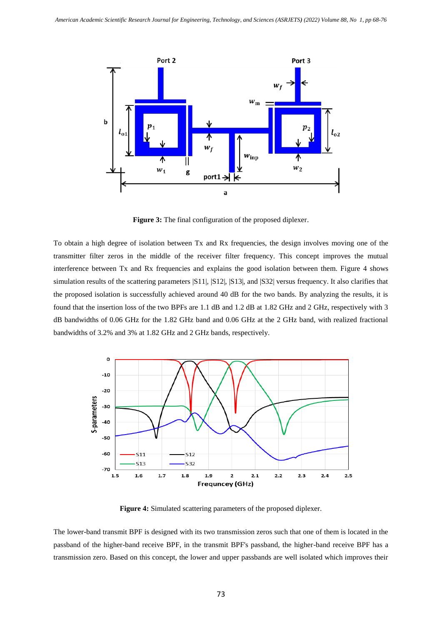

**Figure 3:** The final configuration of the proposed diplexer.

To obtain a high degree of isolation between Tx and Rx frequencies, the design involves moving one of the transmitter filter zeros in the middle of the receiver filter frequency. This concept improves the mutual interference between Tx and Rx frequencies and explains the good isolation between them. Figure 4 shows simulation results of the scattering parameters  $|S11|$ ,  $|S12|$ ,  $|S13|$ , and  $|S32|$  versus frequency. It also clarifies that the proposed isolation is successfully achieved around 40 dB for the two bands. By analyzing the results, it is found that the insertion loss of the two BPFs are 1.1 dB and 1.2 dB at 1.82 GHz and 2 GHz, respectively with 3 dB bandwidths of 0.06 GHz for the 1.82 GHz band and 0.06 GHz at the 2 GHz band, with realized fractional bandwidths of 3.2% and 3% at 1.82 GHz and 2 GHz bands, respectively.



**Figure 4:** Simulated scattering parameters of the proposed diplexer.

The lower-band transmit BPF is designed with its two transmission zeros such that one of them is located in the passband of the higher-band receive BPF, in the transmit BPF's passband, the higher-band receive BPF has a transmission zero. Based on this concept, the lower and upper passbands are well isolated which improves their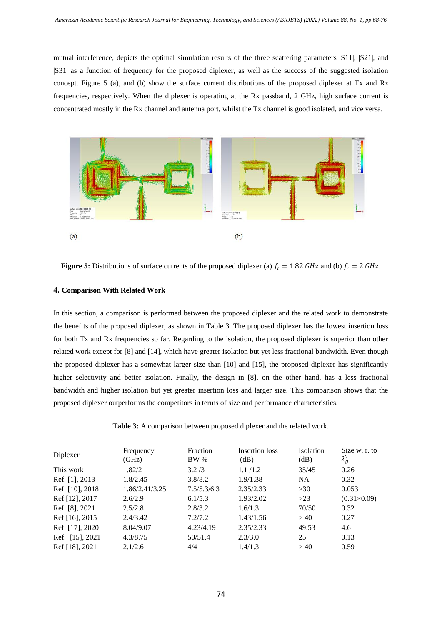mutual interference, depicts the optimal simulation results of the three scattering parameters |S11|, |S21|, and |S31| as a function of frequency for the proposed diplexer, as well as the success of the suggested isolation concept. Figure 5 (a), and (b) show the surface current distributions of the proposed diplexer at Tx and Rx frequencies, respectively. When the diplexer is operating at the Rx passband, 2 GHz, high surface current is concentrated mostly in the Rx channel and antenna port, whilst the Tx channel is good isolated, and vice versa.



**Figure 5:** Distributions of surface currents of the proposed diplexer (a)  $f_t = 1.82$  GHz and (b)  $f_r = 2$  GHz.

# **4. Comparison With Related Work**

In this section, a comparison is performed between the proposed diplexer and the related work to demonstrate the benefits of the proposed diplexer, as shown in Table 3. The proposed diplexer has the lowest insertion loss for both Tx and Rx frequencies so far. Regarding to the isolation, the proposed diplexer is superior than other related work except for [8] and [14], which have greater isolation but yet less fractional bandwidth. Even though the proposed diplexer has a somewhat larger size than [10] and [15], the proposed diplexer has significantly higher selectivity and better isolation. Finally, the design in [8], on the other hand, has a less fractional bandwidth and higher isolation but yet greater insertion loss and larger size. This comparison shows that the proposed diplexer outperforms the competitors in terms of size and performance characteristics.

**Table 3:** A comparison between proposed diplexer and the related work.

| Diplexer        | Frequency<br>(GHz) | Fraction<br><b>BW</b> % | Insertion loss<br>(dB) | <b>Isolation</b><br>(dB) | Size w. r. to<br>$\lambda_g^2$ |
|-----------------|--------------------|-------------------------|------------------------|--------------------------|--------------------------------|
| This work       | 1.82/2             | 3.2/3                   | 1.1/1.2                | 35/45                    | 0.26                           |
| Ref. [1], 2013  | 1.8/2.45           | 3.8/8.2                 | 1.9/1.38               | <b>NA</b>                | 0.32                           |
| Ref. [10], 2018 | 1.86/2.41/3.25     | 7.5/5.3/6.3             | 2.35/2.33              | >30                      | 0.053                          |
| Ref [12], 2017  | 2.6/2.9            | 6.1/5.3                 | 1.93/2.02              | $>23$                    | $(0.31\times0.09)$             |
| Ref. [8], 2021  | 2.5/2.8            | 2.8/3.2                 | 1.6/1.3                | 70/50                    | 0.32                           |
| Ref. [16], 2015 | 2.4/3.42           | 7.2/7.2                 | 1.43/1.56              | > 40                     | 0.27                           |
| Ref. [17], 2020 | 8.04/9.07          | 4.23/4.19               | 2.35/2.33              | 49.53                    | 4.6                            |
| Ref. [15], 2021 | 4.3/8.75           | 50/51.4                 | 2.3/3.0                | 25                       | 0.13                           |
| Ref.[18], 2021  | 2.1/2.6            | 4/4                     | 1.4/1.3                | >40                      | 0.59                           |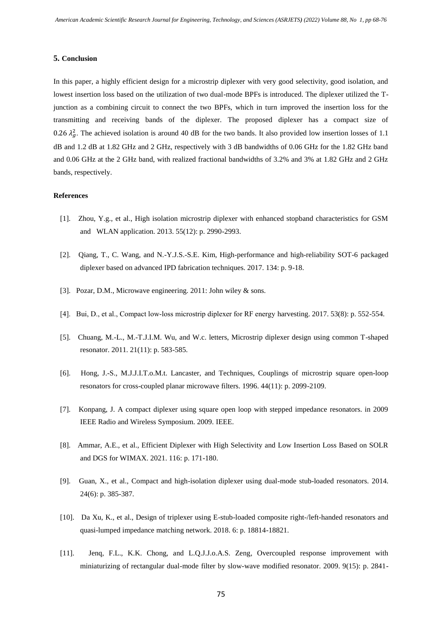#### **5. Conclusion**

In this paper, a highly efficient design for a microstrip diplexer with very good selectivity, good isolation, and lowest insertion loss based on the utilization of two dual-mode BPFs is introduced. The diplexer utilized the Tjunction as a combining circuit to connect the two BPFs, which in turn improved the insertion loss for the transmitting and receiving bands of the diplexer. The proposed diplexer has a compact size of 0.26  $\lambda_g^2$ . The achieved isolation is around 40 dB for the two bands. It also provided low insertion losses of 1.1 dB and 1.2 dB at 1.82 GHz and 2 GHz, respectively with 3 dB bandwidths of 0.06 GHz for the 1.82 GHz band and 0.06 GHz at the 2 GHz band, with realized fractional bandwidths of 3.2% and 3% at 1.82 GHz and 2 GHz bands, respectively.

#### **References**

- [1]. Zhou, Y.g., et al., High isolation microstrip diplexer with enhanced stopband characteristics for GSM and WLAN application. 2013. 55(12): p. 2990-2993.
- [2]. Qiang, T., C. Wang, and N.-Y.J.S.-S.E. Kim, High-performance and high-reliability SOT-6 packaged diplexer based on advanced IPD fabrication techniques. 2017. 134: p. 9-18.
- [3]. Pozar, D.M., Microwave engineering. 2011: John wiley & sons.
- [4]. Bui, D., et al., Compact low‐loss microstrip diplexer for RF energy harvesting. 2017. 53(8): p. 552-554.
- [5]. Chuang, M.-L., M.-T.J.I.M. Wu, and W.c. letters, Microstrip diplexer design using common T-shaped resonator. 2011. 21(11): p. 583-585.
- [6]. Hong, J.-S., M.J.J.I.T.o.M.t. Lancaster, and Techniques, Couplings of microstrip square open-loop resonators for cross-coupled planar microwave filters. 1996. 44(11): p. 2099-2109.
- [7]. Konpang, J. A compact diplexer using square open loop with stepped impedance resonators. in 2009 IEEE Radio and Wireless Symposium. 2009. IEEE.
- [8]. Ammar, A.E., et al., Efficient Diplexer with High Selectivity and Low Insertion Loss Based on SOLR and DGS for WIMAX. 2021. 116: p. 171-180.
- [9]. Guan, X., et al., Compact and high-isolation diplexer using dual-mode stub-loaded resonators. 2014. 24(6): p. 385-387.
- [10]. Da Xu, K., et al., Design of triplexer using E-stub-loaded composite right-/left-handed resonators and quasi-lumped impedance matching network. 2018. 6: p. 18814-18821.
- [11]. Jenq, F.L., K.K. Chong, and L.Q.J.J.o.A.S. Zeng, Overcoupled response improvement with miniaturizing of rectangular dual-mode filter by slow-wave modified resonator. 2009. 9(15): p. 2841-